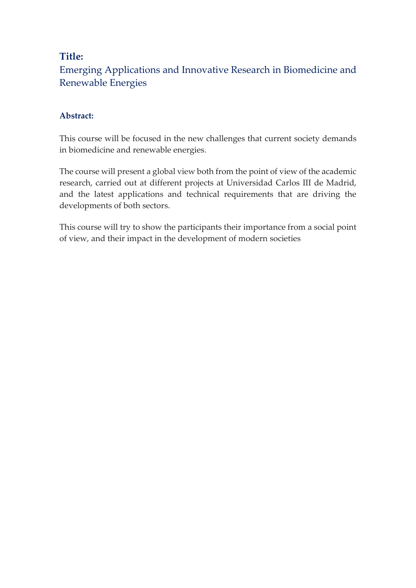# Title:

# Emerging Applications and Innovative Research in Biomedicine and Renewable Energies

### Abstract:

This course will be focused in the new challenges that current society demands in biomedicine and renewable energies.

The course will present a global view both from the point of view of the academic research, carried out at different projects at Universidad Carlos III de Madrid, and the latest applications and technical requirements that are driving the developments of both sectors.

This course will try to show the participants their importance from a social point of view, and their impact in the development of modern societies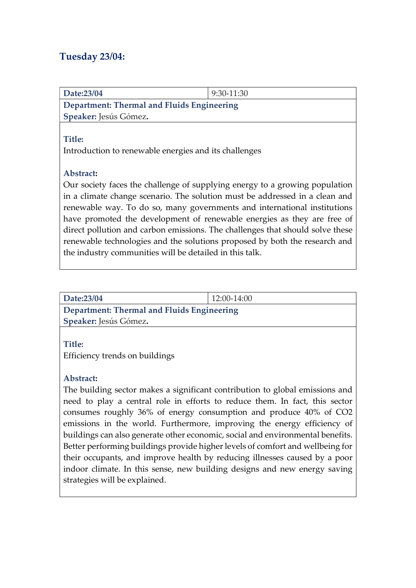# Tuesday 23/04:

| Date:23/04                                 | $9:30-11:30$ |  |
|--------------------------------------------|--------------|--|
| Department: Thermal and Fluids Engineering |              |  |
| <b>Speaker: Jesús Gómez.</b>               |              |  |
|                                            |              |  |

#### Title:

Introduction to renewable energies and its challenges

### Abstract:

Our society faces the challenge of supplying energy to a growing population in a climate change scenario. The solution must be addressed in a clean and renewable way. To do so, many governments and international institutions have promoted the development of renewable energies as they are free of direct pollution and carbon emissions. The challenges that should solve these renewable technologies and the solutions proposed by both the research and the industry communities will be detailed in this talk.

Date:23/04 12:00-14:00

### Department: Thermal and Fluids Engineering Speaker: Jesús Gómez.

### Title:

Efficiency trends on buildings

### Abstract:

The building sector makes a significant contribution to global emissions and need to play a central role in efforts to reduce them. In fact, this sector consumes roughly 36% of energy consumption and produce 40% of CO2 emissions in the world. Furthermore, improving the energy efficiency of buildings can also generate other economic, social and environmental benefits. Better performing buildings provide higher levels of comfort and wellbeing for their occupants, and improve health by reducing illnesses caused by a poor indoor climate. In this sense, new building designs and new energy saving strategies will be explained.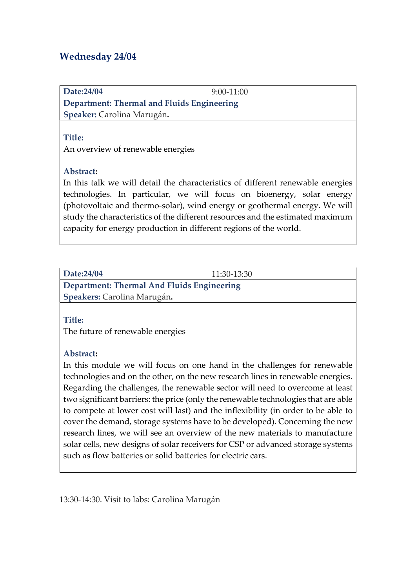# Wednesday 24/04

| Date:24/04                                 | $9:00-11:00$ |  |
|--------------------------------------------|--------------|--|
| Department: Thermal and Fluids Engineering |              |  |
| <b>Speaker: Carolina Marugán.</b>          |              |  |
|                                            |              |  |

#### Title:

An overview of renewable energies

### Abstract:

In this talk we will detail the characteristics of different renewable energies technologies. In particular, we will focus on bioenergy, solar energy (photovoltaic and thermo-solar), wind energy or geothermal energy. We will study the characteristics of the different resources and the estimated maximum capacity for energy production in different regions of the world.

|--|

11:30-13:30

Department: Thermal And Fluids Engineering Speakers: Carolina Marugán.

### Title:

The future of renewable energies

### Abstract:

In this module we will focus on one hand in the challenges for renewable technologies and on the other, on the new research lines in renewable energies. Regarding the challenges, the renewable sector will need to overcome at least two significant barriers: the price (only the renewable technologies that are able to compete at lower cost will last) and the inflexibility (in order to be able to cover the demand, storage systems have to be developed). Concerning the new research lines, we will see an overview of the new materials to manufacture solar cells, new designs of solar receivers for CSP or advanced storage systems such as flow batteries or solid batteries for electric cars.

13:30-14:30. Visit to labs: Carolina Marugán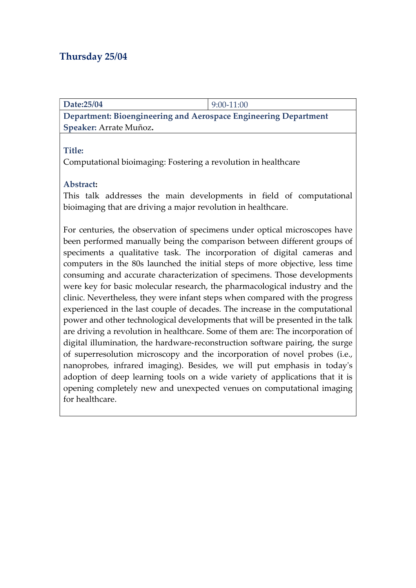# Thursday 25/04

Date:25/04 9:00-11:00 Department: Bioengineering and Aerospace Engineering Department Speaker: Arrate Muñoz.

### Title:

Computational bioimaging: Fostering a revolution in healthcare

### Abstract:

This talk addresses the main developments in field of computational bioimaging that are driving a major revolution in healthcare.

For centuries, the observation of specimens under optical microscopes have been performed manually being the comparison between different groups of speciments a qualitative task. The incorporation of digital cameras and computers in the 80s launched the initial steps of more objective, less time consuming and accurate characterization of specimens. Those developments were key for basic molecular research, the pharmacological industry and the clinic. Nevertheless, they were infant steps when compared with the progress experienced in the last couple of decades. The increase in the computational power and other technological developments that will be presented in the talk are driving a revolution in healthcare. Some of them are: The incorporation of digital illumination, the hardware-reconstruction software pairing, the surge of superresolution microscopy and the incorporation of novel probes (i.e., nanoprobes, infrared imaging). Besides, we will put emphasis in today's adoption of deep learning tools on a wide variety of applications that it is opening completely new and unexpected venues on computational imaging for healthcare.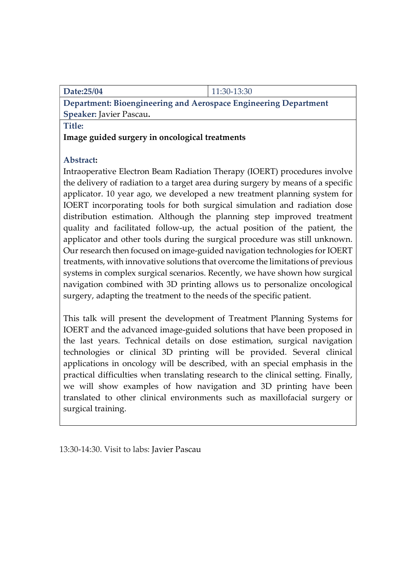| Date:25/04                                                      | 11:30-13:30 |  |
|-----------------------------------------------------------------|-------------|--|
| Department: Bioengineering and Aerospace Engineering Department |             |  |
| <b>Speaker: Javier Pascau.</b>                                  |             |  |
| Title:                                                          |             |  |

### Image guided surgery in oncological treatments

### Abstract:

Intraoperative Electron Beam Radiation Therapy (IOERT) procedures involve the delivery of radiation to a target area during surgery by means of a specific applicator. 10 year ago, we developed a new treatment planning system for IOERT incorporating tools for both surgical simulation and radiation dose distribution estimation. Although the planning step improved treatment quality and facilitated follow-up, the actual position of the patient, the applicator and other tools during the surgical procedure was still unknown. Our research then focused on image-guided navigation technologies for IOERT treatments, with innovative solutions that overcome the limitations of previous systems in complex surgical scenarios. Recently, we have shown how surgical navigation combined with 3D printing allows us to personalize oncological surgery, adapting the treatment to the needs of the specific patient.

This talk will present the development of Treatment Planning Systems for IOERT and the advanced image-guided solutions that have been proposed in the last years. Technical details on dose estimation, surgical navigation technologies or clinical 3D printing will be provided. Several clinical applications in oncology will be described, with an special emphasis in the practical difficulties when translating research to the clinical setting. Finally, we will show examples of how navigation and 3D printing have been translated to other clinical environments such as maxillofacial surgery or surgical training.

13:30-14:30. Visit to labs: Javier Pascau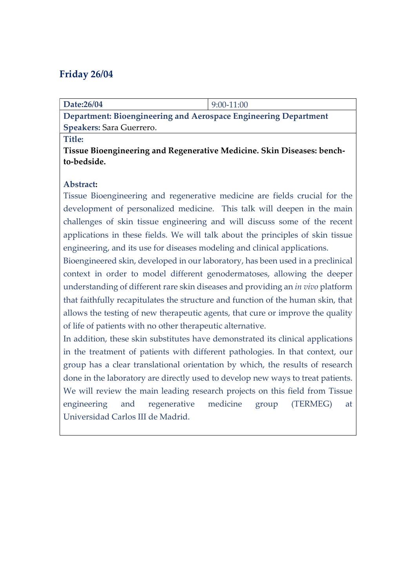# Friday 26/04

| Date:26/04                                                      | $9:00-11:00$ |  |
|-----------------------------------------------------------------|--------------|--|
| Department: Bioengineering and Aerospace Engineering Department |              |  |
| <b>Speakers: Sara Guerrero.</b>                                 |              |  |
| <b>COLOR</b>                                                    |              |  |

#### Title:

Tissue Bioengineering and Regenerative Medicine. Skin Diseases: benchto-bedside.

### Abstract:

Tissue Bioengineering and regenerative medicine are fields crucial for the development of personalized medicine. This talk will deepen in the main challenges of skin tissue engineering and will discuss some of the recent applications in these fields. We will talk about the principles of skin tissue engineering, and its use for diseases modeling and clinical applications.

Bioengineered skin, developed in our laboratory, has been used in a preclinical context in order to model different genodermatoses, allowing the deeper understanding of different rare skin diseases and providing an in vivo platform that faithfully recapitulates the structure and function of the human skin, that allows the testing of new therapeutic agents, that cure or improve the quality of life of patients with no other therapeutic alternative.

In addition, these skin substitutes have demonstrated its clinical applications in the treatment of patients with different pathologies. In that context, our group has a clear translational orientation by which, the results of research done in the laboratory are directly used to develop new ways to treat patients. We will review the main leading research projects on this field from Tissue engineering and regenerative medicine group (TERMEG) at Universidad Carlos III de Madrid.